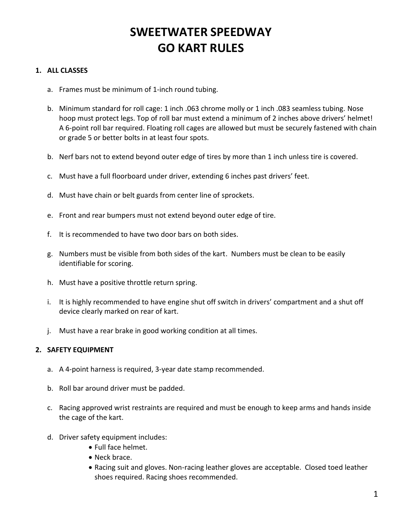# **SWEETWATER SPEEDWAY GO KART RULES**

### **1. ALL CLASSES**

- a. Frames must be minimum of 1-inch round tubing.
- b. Minimum standard for roll cage: 1 inch .063 chrome molly or 1 inch .083 seamless tubing. Nose hoop must protect legs. Top of roll bar must extend a minimum of 2 inches above drivers' helmet! A 6-point roll bar required. Floating roll cages are allowed but must be securely fastened with chain or grade 5 or better bolts in at least four spots.
- b. Nerf bars not to extend beyond outer edge of tires by more than 1 inch unless tire is covered.
- c. Must have a full floorboard under driver, extending 6 inches past drivers' feet.
- d. Must have chain or belt guards from center line of sprockets.
- e. Front and rear bumpers must not extend beyond outer edge of tire.
- f. It is recommended to have two door bars on both sides.
- g. Numbers must be visible from both sides of the kart. Numbers must be clean to be easily identifiable for scoring.
- h. Must have a positive throttle return spring.
- i. It is highly recommended to have engine shut off switch in drivers' compartment and a shut off device clearly marked on rear of kart.
- j. Must have a rear brake in good working condition at all times.

#### **2. SAFETY EQUIPMENT**

- a. A 4-point harness is required, 3-year date stamp recommended.
- b. Roll bar around driver must be padded.
- c. Racing approved wrist restraints are required and must be enough to keep arms and hands inside the cage of the kart.
- d. Driver safety equipment includes:
	- Full face helmet.
	- Neck brace.
	- Racing suit and gloves. Non-racing leather gloves are acceptable. Closed toed leather shoes required. Racing shoes recommended.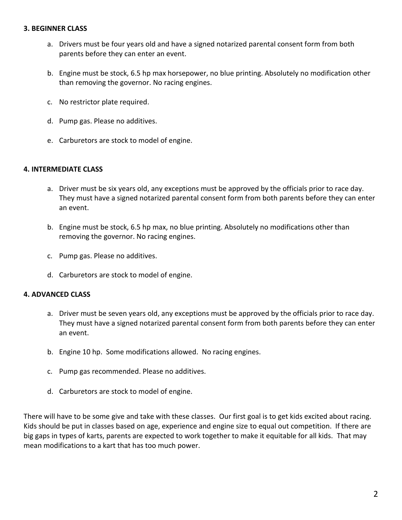#### **3. BEGINNER CLASS**

- a. Drivers must be four years old and have a signed notarized parental consent form from both parents before they can enter an event.
- b. Engine must be stock, 6.5 hp max horsepower, no blue printing. Absolutely no modification other than removing the governor. No racing engines.
- c. No restrictor plate required.
- d. Pump gas. Please no additives.
- e. Carburetors are stock to model of engine.

#### **4. INTERMEDIATE CLASS**

- a. Driver must be six years old, any exceptions must be approved by the officials prior to race day. They must have a signed notarized parental consent form from both parents before they can enter an event.
- b. Engine must be stock, 6.5 hp max, no blue printing. Absolutely no modifications other than removing the governor. No racing engines.
- c. Pump gas. Please no additives.
- d. Carburetors are stock to model of engine.

#### **4. ADVANCED CLASS**

- a. Driver must be seven years old, any exceptions must be approved by the officials prior to race day. They must have a signed notarized parental consent form from both parents before they can enter an event.
- b. Engine 10 hp. Some modifications allowed. No racing engines.
- c. Pump gas recommended. Please no additives.
- d. Carburetors are stock to model of engine.

There will have to be some give and take with these classes. Our first goal is to get kids excited about racing. Kids should be put in classes based on age, experience and engine size to equal out competition. If there are big gaps in types of karts, parents are expected to work together to make it equitable for all kids. That may mean modifications to a kart that has too much power.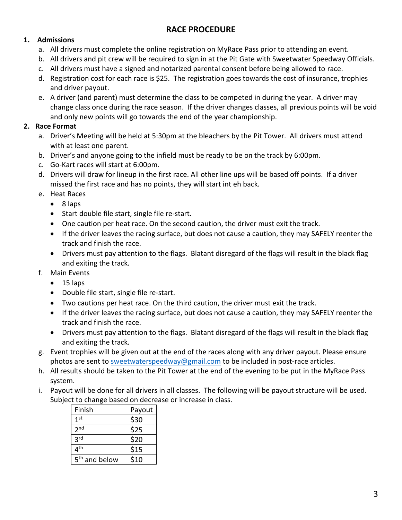## **RACE PROCEDURE**

## **1. Admissions**

- a. All drivers must complete the online registration on MyRace Pass prior to attending an event.
- b. All drivers and pit crew will be required to sign in at the Pit Gate with Sweetwater Speedway Officials.
- c. All drivers must have a signed and notarized parental consent before being allowed to race.
- d. Registration cost for each race is \$25. The registration goes towards the cost of insurance, trophies and driver payout.
- e. A driver (and parent) must determine the class to be competed in during the year. A driver may change class once during the race season. If the driver changes classes, all previous points will be void and only new points will go towards the end of the year championship.

## **2. Race Format**

- a. Driver's Meeting will be held at 5:30pm at the bleachers by the Pit Tower. All drivers must attend with at least one parent.
- b. Driver's and anyone going to the infield must be ready to be on the track by 6:00pm.
- c. Go-Kart races will start at 6:00pm.
- d. Drivers will draw for lineup in the first race. All other line ups will be based off points. If a driver missed the first race and has no points, they will start int eh back.
- e. Heat Races
	- 8 laps
	- Start double file start, single file re-start.
	- One caution per heat race. On the second caution, the driver must exit the track.
	- If the driver leaves the racing surface, but does not cause a caution, they may SAFELY reenter the track and finish the race.
	- Drivers must pay attention to the flags. Blatant disregard of the flags will result in the black flag and exiting the track.
- f. Main Events
	- 15 laps
	- Double file start, single file re-start.
	- Two cautions per heat race. On the third caution, the driver must exit the track.
	- If the driver leaves the racing surface, but does not cause a caution, they may SAFELY reenter the track and finish the race.
	- Drivers must pay attention to the flags. Blatant disregard of the flags will result in the black flag and exiting the track.
- g. Event trophies will be given out at the end of the races along with any driver payout. Please ensure photos are sent to [sweetwaterspeedway@gmail.com](mailto:sweetwaterspeedway@gmail.com) to be included in post-race articles.
- h. All results should be taken to the Pit Tower at the end of the evening to be put in the MyRace Pass system.
- i. Payout will be done for all drivers in all classes. The following will be payout structure will be used. Subject to change based on decrease or increase in class.

| Finish                    | Payout |
|---------------------------|--------|
| 1 <sup>st</sup>           | \$30   |
| 2 <sub>nd</sub>           | \$25   |
| 3 <sub>rd</sub>           | \$20   |
| 4 <sup>th</sup>           | \$15   |
| 5 <sup>th</sup> and below | \$10   |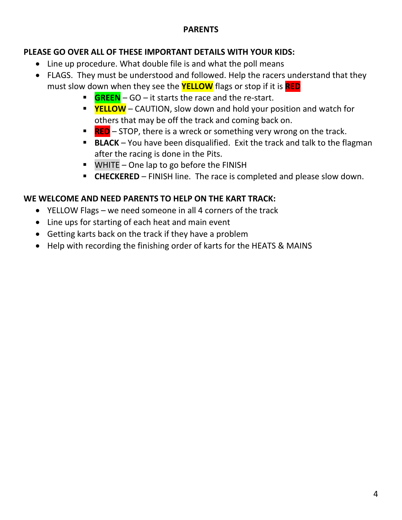# **PARENTS**

# **PLEASE GO OVER ALL OF THESE IMPORTANT DETAILS WITH YOUR KIDS:**

- Line up procedure. What double file is and what the poll means
- FLAGS. They must be understood and followed. Help the racers understand that they must slow down when they see the **YELLOW** flags or stop if it is **RED**
	- **GREEN** GO it starts the race and the re-start.
	- **F** YELLOW CAUTION, slow down and hold your position and watch for others that may be off the track and coming back on.
	- **EXEC** STOP, there is a wreck or something very wrong on the track.
	- **E** BLACK You have been disqualified. Exit the track and talk to the flagman after the racing is done in the Pits.
	- WHITE One lap to go before the FINISH
	- **EXECKERED** FINISH line. The race is completed and please slow down.

# **WE WELCOME AND NEED PARENTS TO HELP ON THE KART TRACK:**

- YELLOW Flags we need someone in all 4 corners of the track
- Line ups for starting of each heat and main event
- Getting karts back on the track if they have a problem
- Help with recording the finishing order of karts for the HEATS & MAINS